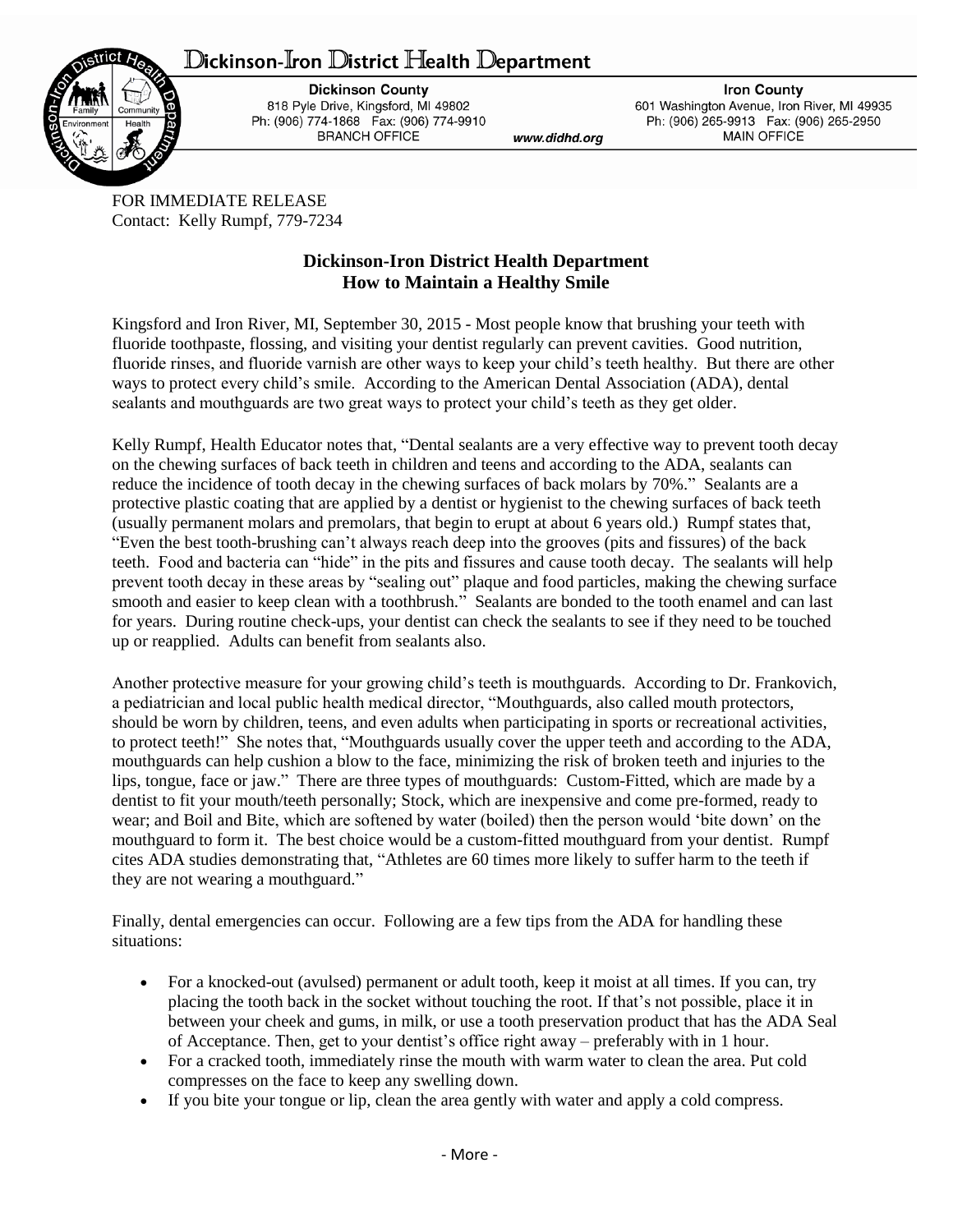## ${\mathbb D}$ ickinson-Iron  ${\mathbb D}$ istrict Health  ${\mathbb D}$ epartment



**Dickinson County** 818 Pyle Drive, Kingsford, MI 49802 Ph: (906) 774-1868 Fax: (906) 774-9910 **BRANCH OFFICE** 

www.didhd.org

**Iron County** 601 Washington Avenue, Iron River, MI 49935 Ph: (906) 265-9913 Fax: (906) 265-2950 **MAIN OFFICE** 

FOR IMMEDIATE RELEASE Contact: Kelly Rumpf, 779-7234

## **Dickinson-Iron District Health Department How to Maintain a Healthy Smile**

Kingsford and Iron River, MI, September 30, 2015 - Most people know that brushing your teeth with fluoride toothpaste, flossing, and visiting your dentist regularly can prevent cavities. Good nutrition, fluoride rinses, and fluoride varnish are other ways to keep your child's teeth healthy. But there are other ways to protect every child's smile. According to the American Dental Association (ADA), dental sealants and mouthguards are two great ways to protect your child's teeth as they get older.

Kelly Rumpf, Health Educator notes that, "Dental sealants are a very effective way to prevent tooth decay on the chewing surfaces of back teeth in children and teens and according to the ADA, sealants can reduce the incidence of tooth decay in the chewing surfaces of back molars by 70%." Sealants are a protective plastic coating that are applied by a dentist or hygienist to the chewing surfaces of back teeth (usually permanent molars and premolars, that begin to erupt at about 6 years old.) Rumpf states that, "Even the best tooth-brushing can't always reach deep into the grooves (pits and fissures) of the back teeth. Food and bacteria can "hide" in the pits and fissures and cause tooth decay. The sealants will help prevent tooth decay in these areas by "sealing out" plaque and food particles, making the chewing surface smooth and easier to keep clean with a toothbrush." Sealants are bonded to the tooth enamel and can last for years. During routine check-ups, your dentist can check the sealants to see if they need to be touched up or reapplied. Adults can benefit from sealants also.

Another protective measure for your growing child's teeth is mouthguards. According to Dr. Frankovich, a pediatrician and local public health medical director, "Mouthguards, also called mouth protectors, should be worn by children, teens, and even adults when participating in sports or recreational activities, to protect teeth!" She notes that, "Mouthguards usually cover the upper teeth and according to the ADA, mouthguards can help cushion a blow to the face, minimizing the risk of broken teeth and injuries to the lips, tongue, face or jaw." There are three types of mouthguards: Custom-Fitted, which are made by a dentist to fit your mouth/teeth personally; Stock, which are inexpensive and come pre-formed, ready to wear; and Boil and Bite, which are softened by water (boiled) then the person would 'bite down' on the mouthguard to form it. The best choice would be a custom-fitted mouthguard from your dentist. Rumpf cites ADA studies demonstrating that, "Athletes are 60 times more likely to suffer harm to the teeth if they are not wearing a mouthguard."

Finally, dental emergencies can occur. Following are a few tips from the ADA for handling these situations:

- For a knocked-out (avulsed) permanent or adult tooth, keep it moist at all times. If you can, try placing the tooth back in the socket without touching the root. If that's not possible, place it in between your cheek and gums, in milk, or use a [tooth preservation product](http://www.mouthhealthy.org/ada-seal-products/category-display/?category=Emergency+Tooth+Preservation+Product) that has the [ADA Seal](http://www.mouthhealthy.org/en/ada-seal-products/)  [of Acceptance.](http://www.mouthhealthy.org/en/ada-seal-products/) Then, get to your dentist's office right away – preferably with in 1 hour.
- For a cracked tooth, immediately rinse the mouth with warm water to clean the area. Put cold compresses on the face to keep any swelling down.
- If you bite your tongue or lip, clean the area gently with water and apply a cold compress.